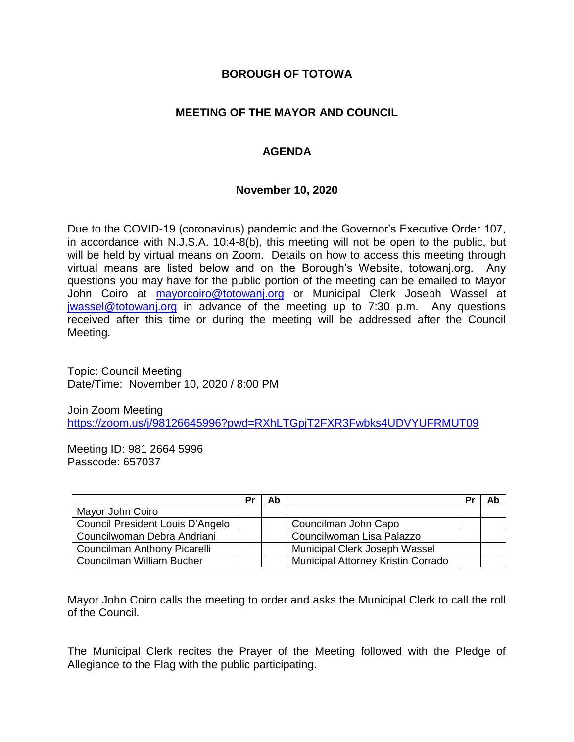#### **BOROUGH OF TOTOWA**

### **MEETING OF THE MAYOR AND COUNCIL**

### **AGENDA**

#### **November 10, 2020**

Due to the COVID-19 (coronavirus) pandemic and the Governor's Executive Order 107, in accordance with N.J.S.A. 10:4-8(b), this meeting will not be open to the public, but will be held by virtual means on Zoom. Details on how to access this meeting through virtual means are listed below and on the Borough's Website, totowanj.org. Any questions you may have for the public portion of the meeting can be emailed to Mayor John Coiro at [mayorcoiro@totowanj.org](mailto:mayorcoiro@totowanj.org) or Municipal Clerk Joseph Wassel at [jwassel@totowanj.org](mailto:jwassel@totowanj.org) in advance of the meeting up to 7:30 p.m. Any questions received after this time or during the meeting will be addressed after the Council Meeting.

Topic: Council Meeting Date/Time: November 10, 2020 / 8:00 PM

Join Zoom Meeting <https://zoom.us/j/98126645996?pwd=RXhLTGpjT2FXR3Fwbks4UDVYUFRMUT09>

Meeting ID: 981 2664 5996 Passcode: 657037

|                                  | Pr | Ab |                                           | Pr | Ab |
|----------------------------------|----|----|-------------------------------------------|----|----|
| Mayor John Coiro                 |    |    |                                           |    |    |
| Council President Louis D'Angelo |    |    | Councilman John Capo                      |    |    |
| Councilwoman Debra Andriani      |    |    | Councilwoman Lisa Palazzo                 |    |    |
| Councilman Anthony Picarelli     |    |    | Municipal Clerk Joseph Wassel             |    |    |
| Councilman William Bucher        |    |    | <b>Municipal Attorney Kristin Corrado</b> |    |    |

Mayor John Coiro calls the meeting to order and asks the Municipal Clerk to call the roll of the Council.

The Municipal Clerk recites the Prayer of the Meeting followed with the Pledge of Allegiance to the Flag with the public participating.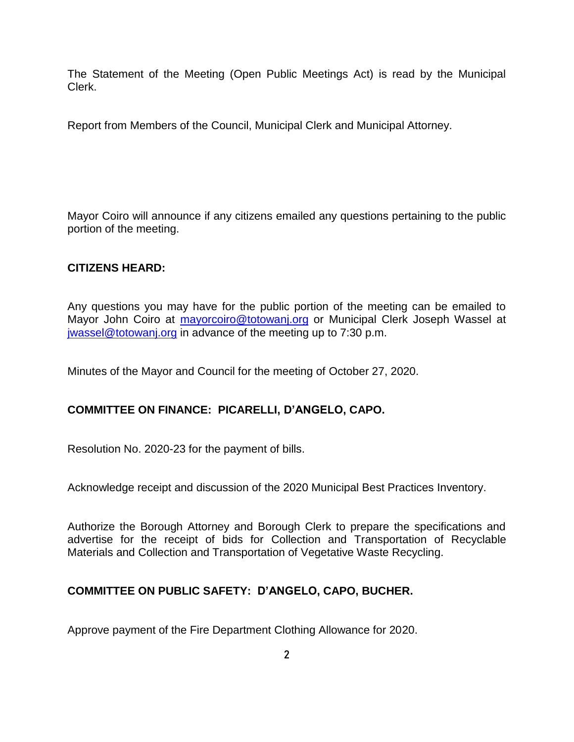The Statement of the Meeting (Open Public Meetings Act) is read by the Municipal Clerk.

Report from Members of the Council, Municipal Clerk and Municipal Attorney.

Mayor Coiro will announce if any citizens emailed any questions pertaining to the public portion of the meeting.

### **CITIZENS HEARD:**

Any questions you may have for the public portion of the meeting can be emailed to Mayor John Coiro at [mayorcoiro@totowanj.org](mailto:mayorcoiro@totowanj.org) or Municipal Clerk Joseph Wassel at [jwassel@totowanj.org](mailto:jwassel@totowanj.org) in advance of the meeting up to 7:30 p.m.

Minutes of the Mayor and Council for the meeting of October 27, 2020.

# **COMMITTEE ON FINANCE: PICARELLI, D'ANGELO, CAPO.**

Resolution No. 2020-23 for the payment of bills.

Acknowledge receipt and discussion of the 2020 Municipal Best Practices Inventory.

Authorize the Borough Attorney and Borough Clerk to prepare the specifications and advertise for the receipt of bids for Collection and Transportation of Recyclable Materials and Collection and Transportation of Vegetative Waste Recycling.

# **COMMITTEE ON PUBLIC SAFETY: D'ANGELO, CAPO, BUCHER.**

Approve payment of the Fire Department Clothing Allowance for 2020.